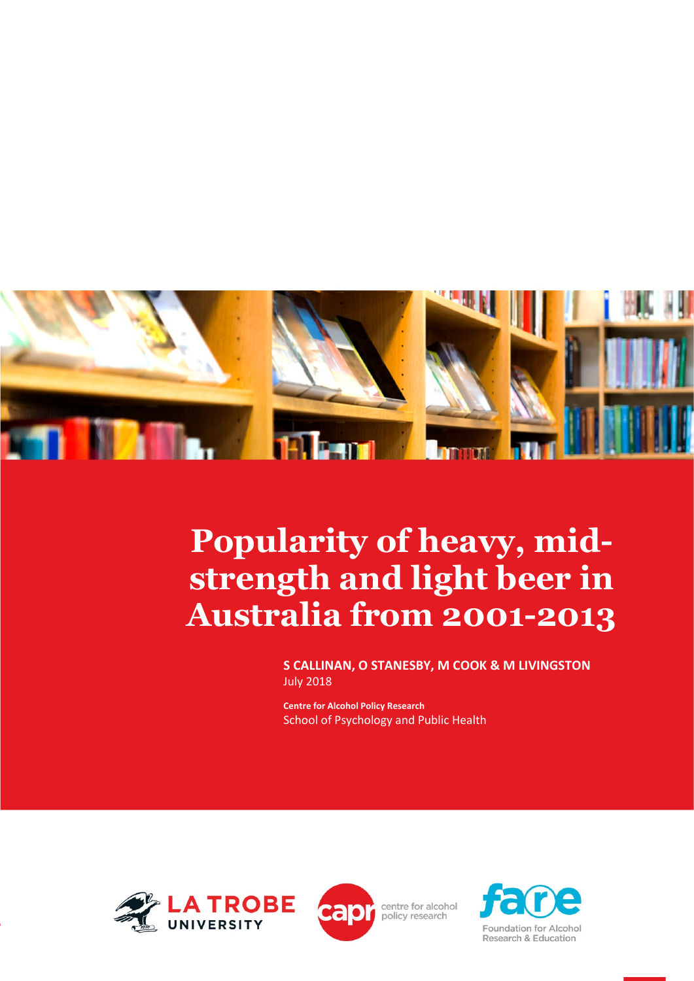

# **Popularity of heavy, midstrength and light beer in Australia from 2001-2013**

**S CALLINAN, O STANESBY, M COOK & M LIVINGSTON** July 2018

**Centre for Alcohol Policy Research** School of Psychology and Public Health





centre for alcohol policy research

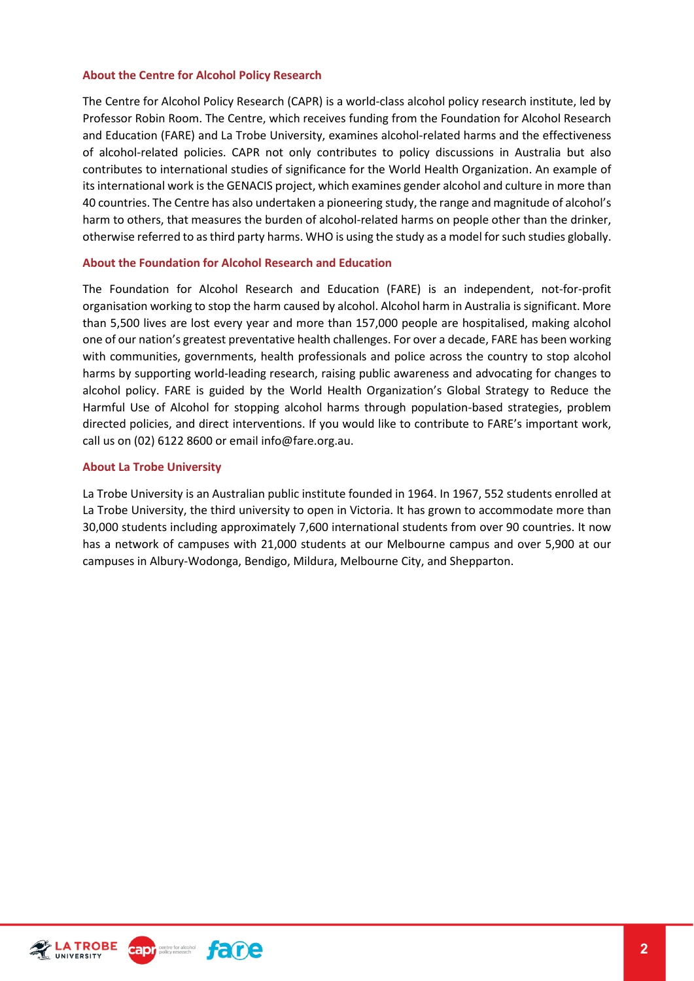#### **About the Centre for Alcohol Policy Research**

The Centre for Alcohol Policy Research (CAPR) is a world-class alcohol policy research institute, led by Professor Robin Room. The Centre, which receives funding from the Foundation for Alcohol Research and Education (FARE) and La Trobe University, examines alcohol-related harms and the effectiveness of alcohol-related policies. CAPR not only contributes to policy discussions in Australia but also contributes to international studies of significance for the World Health Organization. An example of its international work is the GENACIS project, which examines gender alcohol and culture in more than 40 countries. The Centre has also undertaken a pioneering study, the range and magnitude of alcohol's harm to others, that measures the burden of alcohol-related harms on people other than the drinker, otherwise referred to as third party harms. WHO is using the study as a model for such studies globally.

#### **About the Foundation for Alcohol Research and Education**

The Foundation for Alcohol Research and Education (FARE) is an independent, not-for-profit organisation working to stop the harm caused by alcohol. Alcohol harm in Australia is significant. More than 5,500 lives are lost every year and more than 157,000 people are hospitalised, making alcohol one of our nation's greatest preventative health challenges. For over a decade, FARE has been working with communities, governments, health professionals and police across the country to stop alcohol harms by supporting world-leading research, raising public awareness and advocating for changes to alcohol policy. FARE is guided by the World Health Organization's Global Strategy to Reduce the Harmful Use of Alcohol for stopping alcohol harms through population-based strategies, problem directed policies, and direct interventions. If you would like to contribute to FARE's important work, call us on (02) 6122 8600 or email info@fare.org.au.

#### **About La Trobe University**

La Trobe University is an Australian public institute founded in 1964. In 1967, 552 students enrolled at La Trobe University, the third university to open in Victoria. It has grown to accommodate more than 30,000 students including approximately 7,600 international students from over 90 countries. It now has a network of campuses with 21,000 students at our Melbourne campus and over 5,900 at our campuses in Albury-Wodonga, Bendigo, Mildura, Melbourne City, and Shepparton.



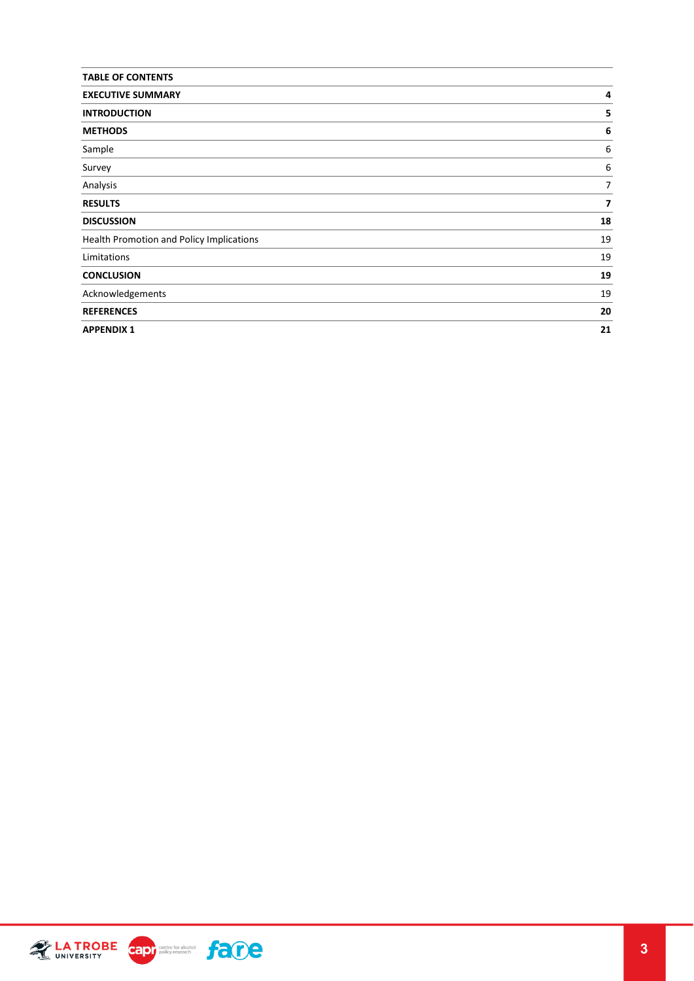| <b>TABLE OF CONTENTS</b>                 |                |
|------------------------------------------|----------------|
| <b>EXECUTIVE SUMMARY</b>                 | 4              |
| <b>INTRODUCTION</b>                      | 5              |
| <b>METHODS</b>                           | 6              |
| Sample                                   | 6              |
| Survey                                   | 6              |
| Analysis                                 | $\overline{7}$ |
| <b>RESULTS</b>                           | 7              |
| <b>DISCUSSION</b>                        | 18             |
| Health Promotion and Policy Implications | 19             |
| Limitations                              | 19             |
| <b>CONCLUSION</b>                        | 19             |
| Acknowledgements                         | 19             |
| <b>REFERENCES</b>                        | 20             |
| <b>APPENDIX 1</b>                        | 21             |

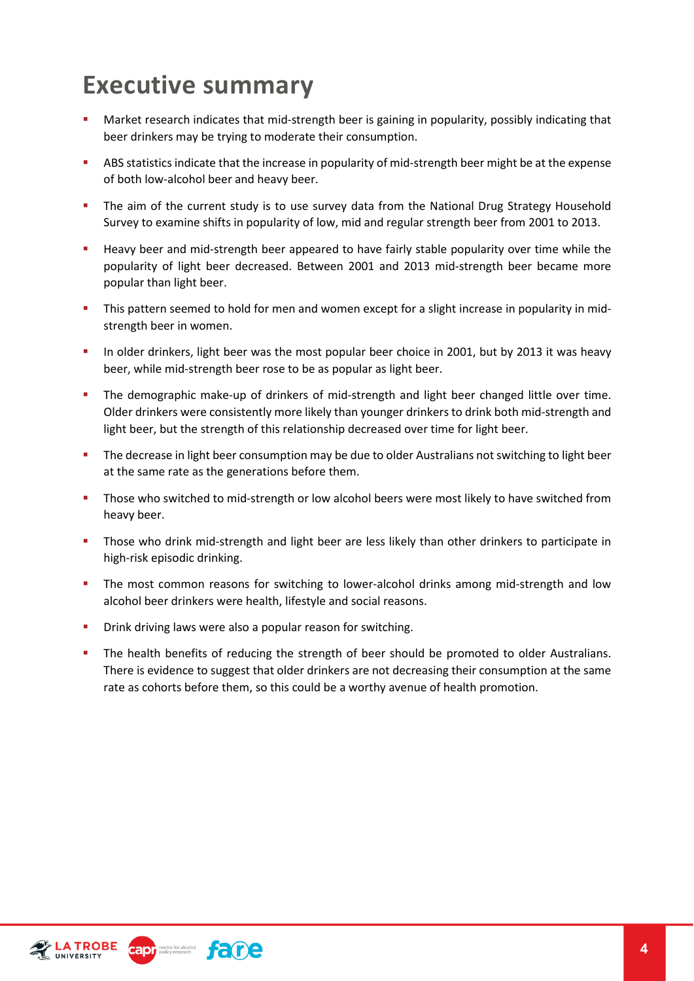## <span id="page-3-0"></span>**Executive summary**

- **Market research indicates that mid-strength beer is gaining in popularity, possibly indicating that** beer drinkers may be trying to moderate their consumption.
- ABS statistics indicate that the increase in popularity of mid-strength beer might be at the expense of both low-alcohol beer and heavy beer.
- The aim of the current study is to use survey data from the National Drug Strategy Household Survey to examine shifts in popularity of low, mid and regular strength beer from 2001 to 2013.
- Heavy beer and mid-strength beer appeared to have fairly stable popularity over time while the popularity of light beer decreased. Between 2001 and 2013 mid-strength beer became more popular than light beer.
- This pattern seemed to hold for men and women except for a slight increase in popularity in midstrength beer in women.
- In older drinkers, light beer was the most popular beer choice in 2001, but by 2013 it was heavy beer, while mid-strength beer rose to be as popular as light beer.
- **The demographic make-up of drinkers of mid-strength and light beer changed little over time.** Older drinkers were consistently more likely than younger drinkers to drink both mid-strength and light beer, but the strength of this relationship decreased over time for light beer.
- The decrease in light beer consumption may be due to older Australians not switching to light beer at the same rate as the generations before them.
- **Those who switched to mid-strength or low alcohol beers were most likely to have switched from** heavy beer.
- Those who drink mid-strength and light beer are less likely than other drinkers to participate in high-risk episodic drinking.
- The most common reasons for switching to lower-alcohol drinks among mid-strength and low alcohol beer drinkers were health, lifestyle and social reasons.
- Drink driving laws were also a popular reason for switching.
- **The health benefits of reducing the strength of beer should be promoted to older Australians.** There is evidence to suggest that older drinkers are not decreasing their consumption at the same rate as cohorts before them, so this could be a worthy avenue of health promotion.



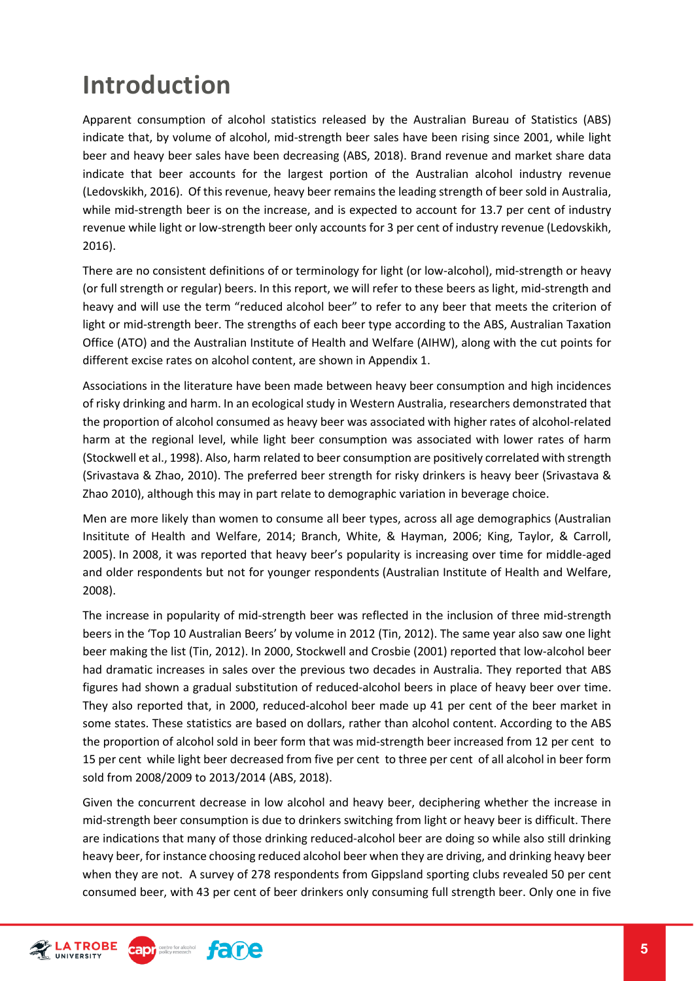## <span id="page-4-0"></span>**Introduction**

Apparent consumption of alcohol statistics released by the Australian Bureau of Statistics (ABS) indicate that, by volume of alcohol, mid-strength beer sales have been rising since 2001, while light beer and heavy beer sales have been decreasing (ABS, 2018). Brand revenue and market share data indicate that beer accounts for the largest portion of the Australian alcohol industry revenue (Ledovskikh, 2016). Of this revenue, heavy beer remains the leading strength of beer sold in Australia, while mid-strength beer is on the increase, and is expected to account for 13.7 per cent of industry revenue while light or low-strength beer only accounts for 3 per cent of industry revenue (Ledovskikh, 2016).

There are no consistent definitions of or terminology for light (or low-alcohol), mid-strength or heavy (or full strength or regular) beers. In this report, we will refer to these beers as light, mid-strength and heavy and will use the term "reduced alcohol beer" to refer to any beer that meets the criterion of light or mid-strength beer. The strengths of each beer type according to the ABS, Australian Taxation Office (ATO) and the Australian Institute of Health and Welfare (AIHW), along with the cut points for different excise rates on alcohol content, are shown in Appendix 1.

Associations in the literature have been made between heavy beer consumption and high incidences of risky drinking and harm. In an ecological study in Western Australia, researchers demonstrated that the proportion of alcohol consumed as heavy beer was associated with higher rates of alcohol-related harm at the regional level, while light beer consumption was associated with lower rates of harm (Stockwell et al., 1998). Also, harm related to beer consumption are positively correlated with strength (Srivastava & Zhao, 2010). The preferred beer strength for risky drinkers is heavy beer (Srivastava & Zhao 2010), although this may in part relate to demographic variation in beverage choice.

Men are more likely than women to consume all beer types, across all age demographics (Australian Insititute of Health and Welfare, 2014; Branch, White, & Hayman, 2006; King, Taylor, & Carroll, 2005). In 2008, it was reported that heavy beer's popularity is increasing over time for middle-aged and older respondents but not for younger respondents (Australian Institute of Health and Welfare, 2008).

The increase in popularity of mid-strength beer was reflected in the inclusion of three mid-strength beers in the 'Top 10 Australian Beers' by volume in 2012 (Tin, 2012). The same year also saw one light beer making the list (Tin, 2012). In 2000, Stockwell and Crosbie (2001) reported that low-alcohol beer had dramatic increases in sales over the previous two decades in Australia. They reported that ABS figures had shown a gradual substitution of reduced-alcohol beers in place of heavy beer over time. They also reported that, in 2000, reduced-alcohol beer made up 41 per cent of the beer market in some states. These statistics are based on dollars, rather than alcohol content. According to the ABS the proportion of alcohol sold in beer form that was mid-strength beer increased from 12 per cent to 15 per cent while light beer decreased from five per cent to three per cent of all alcohol in beer form sold from 2008/2009 to 2013/2014 (ABS, 2018).

Given the concurrent decrease in low alcohol and heavy beer, deciphering whether the increase in mid-strength beer consumption is due to drinkers switching from light or heavy beer is difficult. There are indications that many of those drinking reduced-alcohol beer are doing so while also still drinking heavy beer, for instance choosing reduced alcohol beer when they are driving, and drinking heavy beer when they are not. A survey of 278 respondents from Gippsland sporting clubs revealed 50 per cent consumed beer, with 43 per cent of beer drinkers only consuming full strength beer. Only one in five

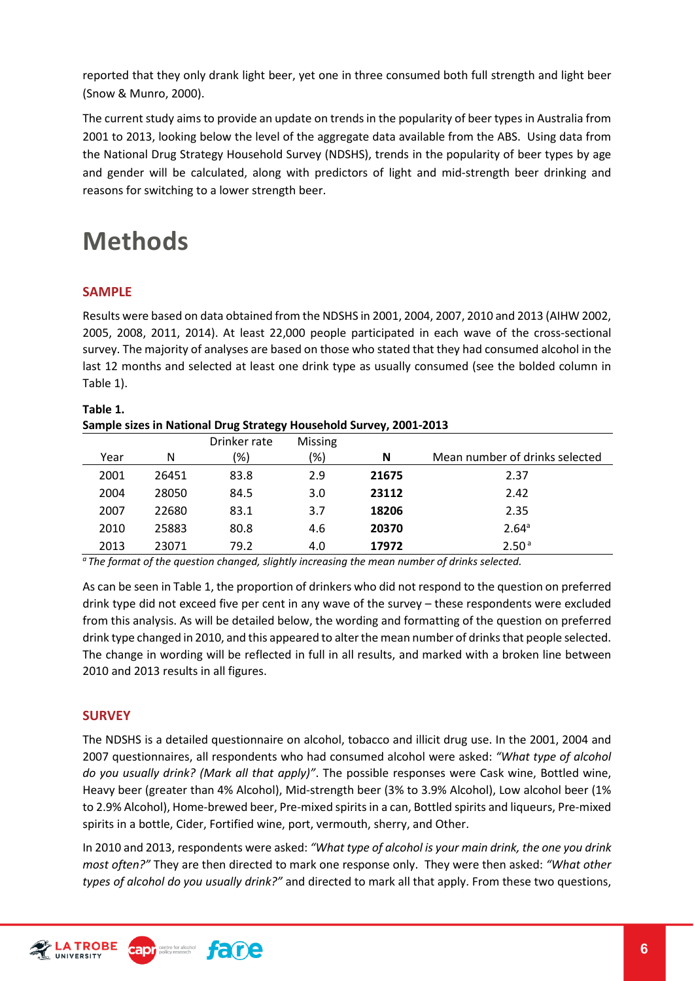reported that they only drank light beer, yet one in three consumed both full strength and light beer (Snow & Munro, 2000).

The current study aims to provide an update on trends in the popularity of beer types in Australia from 2001 to 2013, looking below the level of the aggregate data available from the ABS. Using data from the National Drug Strategy Household Survey (NDSHS), trends in the popularity of beer types by age and gender will be calculated, along with predictors of light and mid-strength beer drinking and reasons for switching to a lower strength beer.

### <span id="page-5-0"></span>**Methods**

#### <span id="page-5-1"></span>**SAMPLE**

Results were based on data obtained from the NDSHS in 2001, 2004, 2007, 2010 and 2013 (AIHW 2002, 2005, 2008, 2011, 2014). At least 22,000 people participated in each wave of the cross-sectional survey. The majority of analyses are based on those who stated that they had consumed alcohol in the last 12 months and selected at least one drink type as usually consumed (see the bolded column in Table 1).

| Table 1.                                                           |
|--------------------------------------------------------------------|
| Sample sizes in National Drug Strategy Household Survey, 2001-2013 |
|                                                                    |

|      |       | Drinker rate  | <b>Missing</b> |       |                                |
|------|-------|---------------|----------------|-------|--------------------------------|
| Year | N     | $\frac{1}{2}$ | (%)            | N     | Mean number of drinks selected |
| 2001 | 26451 | 83.8          | 2.9            | 21675 | 2.37                           |
| 2004 | 28050 | 84.5          | 3.0            | 23112 | 2.42                           |
| 2007 | 22680 | 83.1          | 3.7            | 18206 | 2.35                           |
| 2010 | 25883 | 80.8          | 4.6            | 20370 | 2.64 <sup>a</sup>              |
| 2013 | 23071 | 79.2          | 4.0            | 17972 | 2.50 <sup>a</sup>              |

*a The format of the question changed, slightly increasing the mean number of drinks selected.* 

As can be seen in Table 1, the proportion of drinkers who did not respond to the question on preferred drink type did not exceed five per cent in any wave of the survey – these respondents were excluded from this analysis. As will be detailed below, the wording and formatting of the question on preferred drink type changed in 2010, and this appeared to alter the mean number of drinks that people selected. The change in wording will be reflected in full in all results, and marked with a broken line between 2010 and 2013 results in all figures.

#### <span id="page-5-2"></span>**SURVEY**

The NDSHS is a detailed questionnaire on alcohol, tobacco and illicit drug use. In the 2001, 2004 and 2007 questionnaires, all respondents who had consumed alcohol were asked: *"What type of alcohol do you usually drink? (Mark all that apply)"*. The possible responses were Cask wine, Bottled wine, Heavy beer (greater than 4% Alcohol), Mid-strength beer (3% to 3.9% Alcohol), Low alcohol beer (1% to 2.9% Alcohol), Home-brewed beer, Pre-mixed spirits in a can, Bottled spirits and liqueurs, Pre-mixed spirits in a bottle, Cider, Fortified wine, port, vermouth, sherry, and Other.

In 2010 and 2013, respondents were asked: *"What type of alcohol is your main drink, the one you drink most often?"* They are then directed to mark one response only. They were then asked: *"What other types of alcohol do you usually drink?"* and directed to mark all that apply. From these two questions,

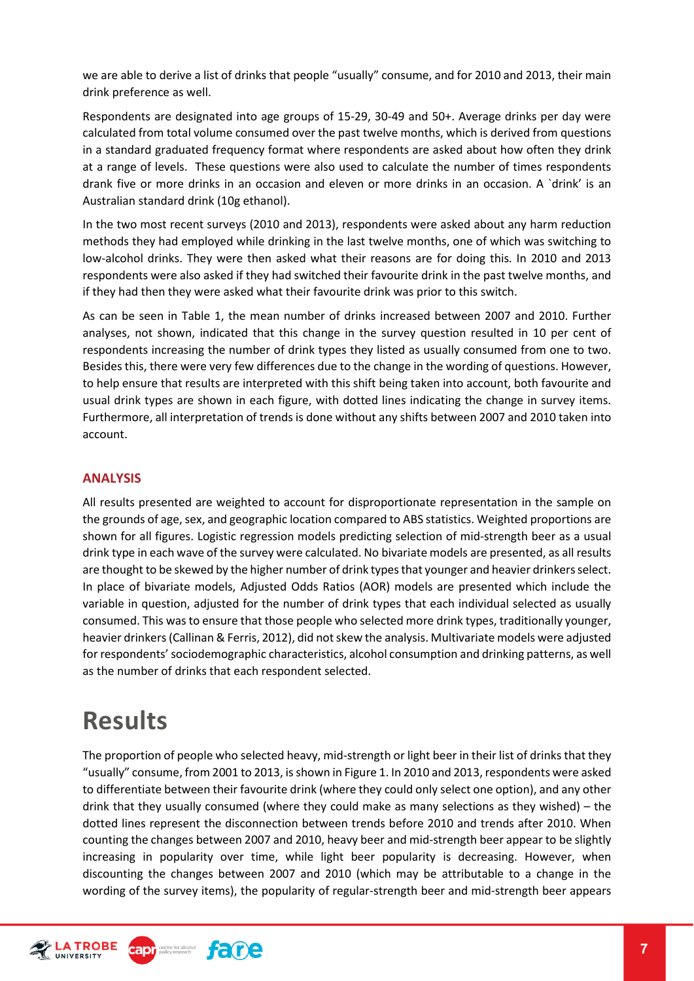we are able to derive a list of drinks that people "usually" consume, and for 2010 and 2013, their main drink preference as well.

Respondents are designated into age groups of 15-29, 30-49 and 50+. Average drinks per day were calculated from total volume consumed over the past twelve months, which is derived from questions in a standard graduated frequency format where respondents are asked about how often they drink at a range of levels. These questions were also used to calculate the number of times respondents drank five or more drinks in an occasion and eleven or more drinks in an occasion. A `drink' is an Australian standard drink (10g ethanol).

In the two most recent surveys (2010 and 2013), respondents were asked about any harm reduction methods they had employed while drinking in the last twelve months, one of which was switching to low-alcohol drinks. They were then asked what their reasons are for doing this. In 2010 and 2013 respondents were also asked if they had switched their favourite drink in the past twelve months, and if they had then they were asked what their favourite drink was prior to this switch.

As can be seen in Table 1, the mean number of drinks increased between 2007 and 2010. Further analyses, not shown, indicated that this change in the survey question resulted in 10 per cent of respondents increasing the number of drink types they listed as usually consumed from one to two. Besides this, there were very few differences due to the change in the wording of questions. However, to help ensure that results are interpreted with this shift being taken into account, both favourite and usual drink types are shown in each figure, with dotted lines indicating the change in survey items. Furthermore, all interpretation of trends is done without any shifts between 2007 and 2010 taken into account.

#### <span id="page-6-0"></span>**ANALYSIS**

All results presented are weighted to account for disproportionate representation in the sample on the grounds of age, sex, and geographic location compared to ABS statistics. Weighted proportions are shown for all figures. Logistic regression models predicting selection of mid-strength beer as a usual drink type in each wave of the survey were calculated. No bivariate models are presented, as all results are thought to be skewed by the higher number of drink types that younger and heavier drinkers select. In place of bivariate models, Adjusted Odds Ratios (AOR) models are presented which include the variable in question, adjusted for the number of drink types that each individual selected as usually consumed. This was to ensure that those people who selected more drink types, traditionally younger, heavier drinkers (Callinan & Ferris, 2012), did not skew the analysis. Multivariate models were adjusted for respondents' sociodemographic characteristics, alcohol consumption and drinking patterns, as well as the number of drinks that each respondent selected.

### <span id="page-6-1"></span>**Results**

The proportion of people who selected heavy, mid-strength or light beer in their list of drinks that they "usually" consume, from 2001 to 2013, is shown in Figure 1. In 2010 and 2013, respondents were asked to differentiate between their favourite drink (where they could only select one option), and any other drink that they usually consumed (where they could make as many selections as they wished) – the dotted lines represent the disconnection between trends before 2010 and trends after 2010. When counting the changes between 2007 and 2010, heavy beer and mid-strength beer appear to be slightly increasing in popularity over time, while light beer popularity is decreasing. However, when discounting the changes between 2007 and 2010 (which may be attributable to a change in the wording of the survey items), the popularity of regular-strength beer and mid-strength beer appears



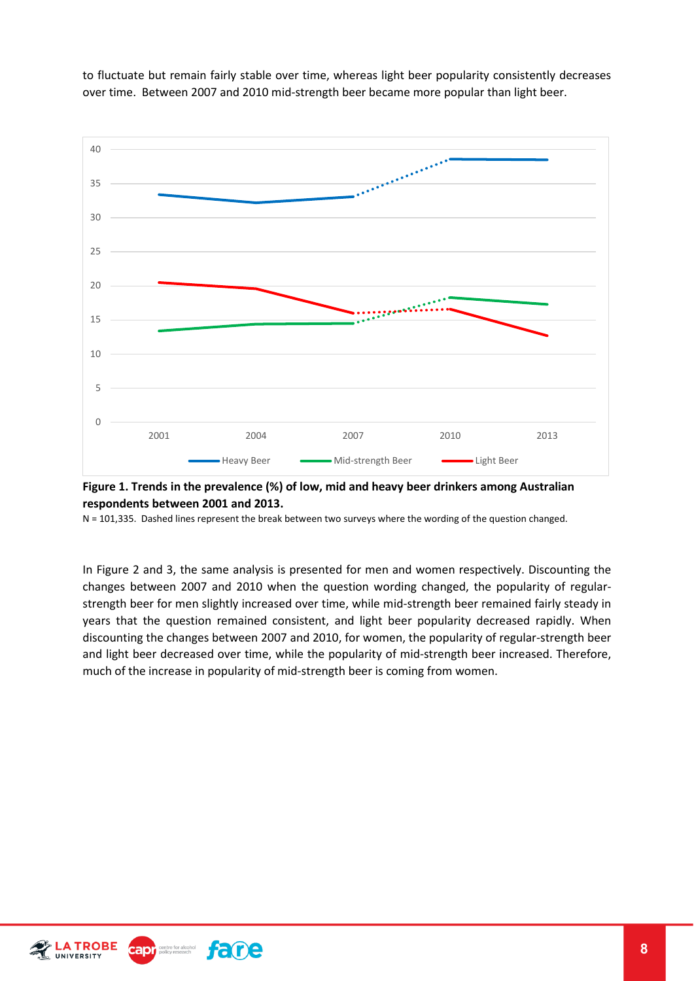to fluctuate but remain fairly stable over time, whereas light beer popularity consistently decreases over time. Between 2007 and 2010 mid-strength beer became more popular than light beer.



**Figure 1. Trends in the prevalence (%) of low, mid and heavy beer drinkers among Australian respondents between 2001 and 2013.**

N = 101,335. Dashed lines represent the break between two surveys where the wording of the question changed.

In Figure 2 and 3, the same analysis is presented for men and women respectively. Discounting the changes between 2007 and 2010 when the question wording changed, the popularity of regularstrength beer for men slightly increased over time, while mid-strength beer remained fairly steady in years that the question remained consistent, and light beer popularity decreased rapidly. When discounting the changes between 2007 and 2010, for women, the popularity of regular-strength beer and light beer decreased over time, while the popularity of mid-strength beer increased. Therefore, much of the increase in popularity of mid-strength beer is coming from women.



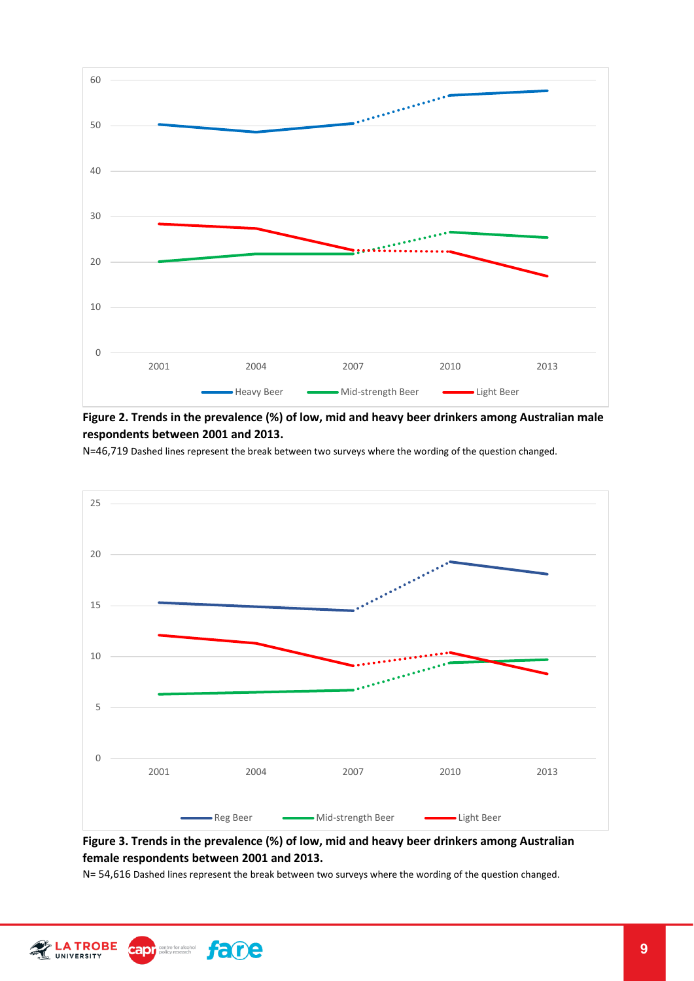

**Figure 2. Trends in the prevalence (%) of low, mid and heavy beer drinkers among Australian male respondents between 2001 and 2013.**

N=46,719 Dashed lines represent the break between two surveys where the wording of the question changed.



#### **Figure 3. Trends in the prevalence (%) of low, mid and heavy beer drinkers among Australian female respondents between 2001 and 2013.**

N= 54,616 Dashed lines represent the break between two surveys where the wording of the question changed.



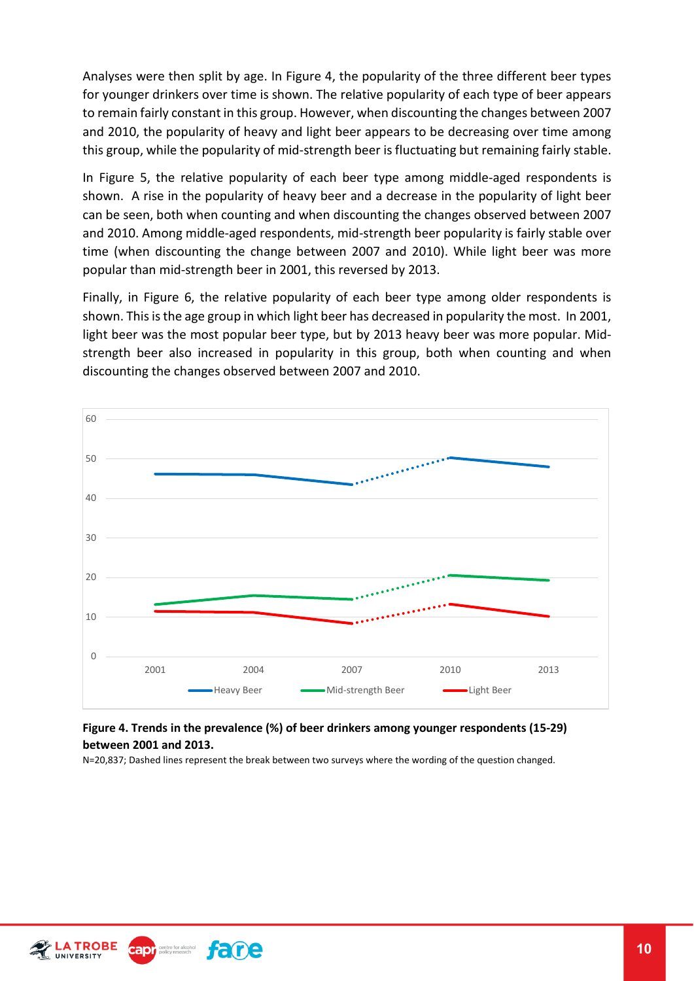Analyses were then split by age. In Figure 4, the popularity of the three different beer types for younger drinkers over time is shown. The relative popularity of each type of beer appears to remain fairly constant in this group. However, when discounting the changes between 2007 and 2010, the popularity of heavy and light beer appears to be decreasing over time among this group, while the popularity of mid-strength beer is fluctuating but remaining fairly stable.

In Figure 5, the relative popularity of each beer type among middle-aged respondents is shown. A rise in the popularity of heavy beer and a decrease in the popularity of light beer can be seen, both when counting and when discounting the changes observed between 2007 and 2010. Among middle-aged respondents, mid-strength beer popularity is fairly stable over time (when discounting the change between 2007 and 2010). While light beer was more popular than mid-strength beer in 2001, this reversed by 2013.

Finally, in Figure 6, the relative popularity of each beer type among older respondents is shown. This is the age group in which light beer has decreased in popularity the most. In 2001, light beer was the most popular beer type, but by 2013 heavy beer was more popular. Midstrength beer also increased in popularity in this group, both when counting and when discounting the changes observed between 2007 and 2010.



#### **Figure 4. Trends in the prevalence (%) of beer drinkers among younger respondents (15-29) between 2001 and 2013.**

N=20,837; Dashed lines represent the break between two surveys where the wording of the question changed.





fane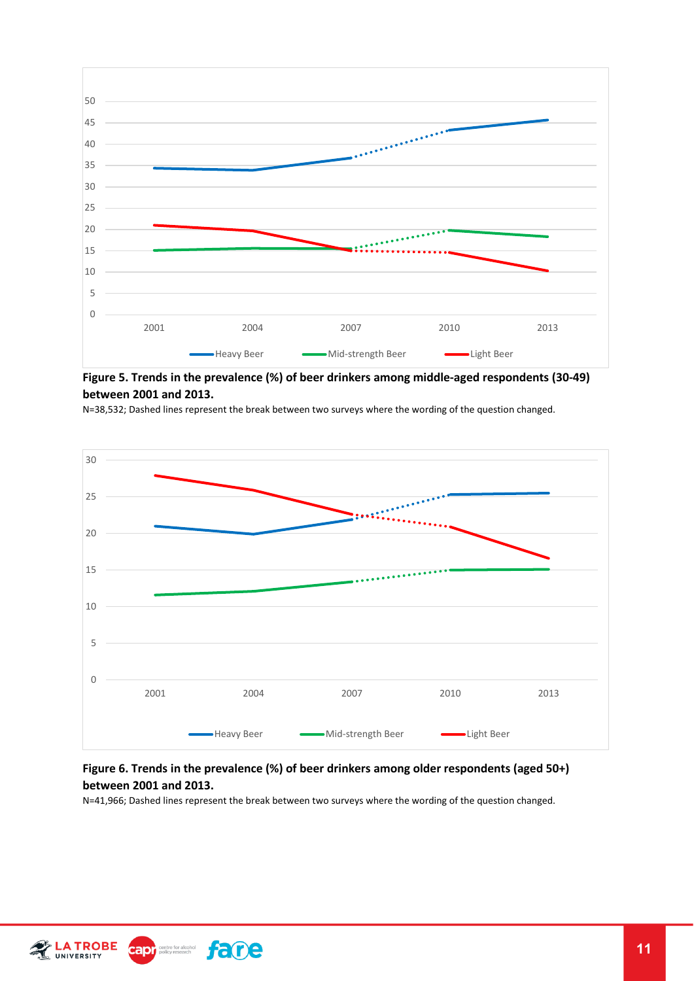

**Figure 5. Trends in the prevalence (%) of beer drinkers among middle-aged respondents (30-49) between 2001 and 2013.**

N=38,532; Dashed lines represent the break between two surveys where the wording of the question changed.



#### **Figure 6. Trends in the prevalence (%) of beer drinkers among older respondents (aged 50+) between 2001 and 2013.**

N=41,966; Dashed lines represent the break between two surveys where the wording of the question changed.



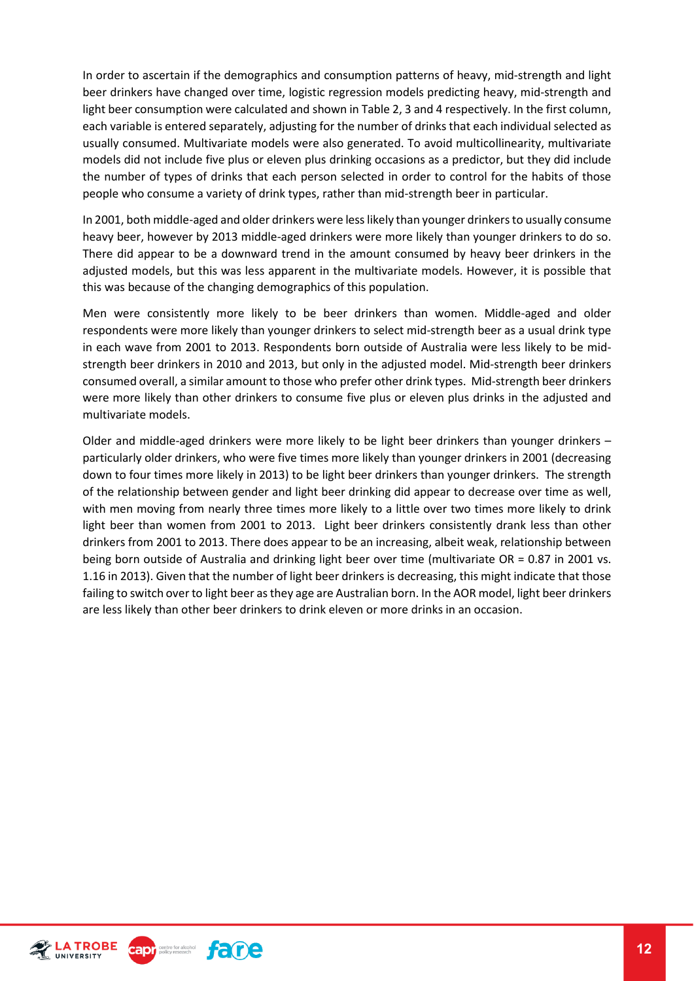In order to ascertain if the demographics and consumption patterns of heavy, mid-strength and light beer drinkers have changed over time, logistic regression models predicting heavy, mid-strength and light beer consumption were calculated and shown in Table 2, 3 and 4 respectively. In the first column, each variable is entered separately, adjusting for the number of drinks that each individual selected as usually consumed. Multivariate models were also generated. To avoid multicollinearity, multivariate models did not include five plus or eleven plus drinking occasions as a predictor, but they did include the number of types of drinks that each person selected in order to control for the habits of those people who consume a variety of drink types, rather than mid-strength beer in particular.

In 2001, both middle-aged and older drinkers were less likely than younger drinkers to usually consume heavy beer, however by 2013 middle-aged drinkers were more likely than younger drinkers to do so. There did appear to be a downward trend in the amount consumed by heavy beer drinkers in the adjusted models, but this was less apparent in the multivariate models. However, it is possible that this was because of the changing demographics of this population.

Men were consistently more likely to be beer drinkers than women. Middle-aged and older respondents were more likely than younger drinkers to select mid-strength beer as a usual drink type in each wave from 2001 to 2013. Respondents born outside of Australia were less likely to be midstrength beer drinkers in 2010 and 2013, but only in the adjusted model. Mid-strength beer drinkers consumed overall, a similar amount to those who prefer other drink types. Mid-strength beer drinkers were more likely than other drinkers to consume five plus or eleven plus drinks in the adjusted and multivariate models.

Older and middle-aged drinkers were more likely to be light beer drinkers than younger drinkers – particularly older drinkers, who were five times more likely than younger drinkers in 2001 (decreasing down to four times more likely in 2013) to be light beer drinkers than younger drinkers. The strength of the relationship between gender and light beer drinking did appear to decrease over time as well, with men moving from nearly three times more likely to a little over two times more likely to drink light beer than women from 2001 to 2013. Light beer drinkers consistently drank less than other drinkers from 2001 to 2013. There does appear to be an increasing, albeit weak, relationship between being born outside of Australia and drinking light beer over time (multivariate OR = 0.87 in 2001 vs. 1.16 in 2013). Given that the number of light beer drinkers is decreasing, this might indicate that those failing to switch over to light beer as they age are Australian born. In the AOR model, light beer drinkers are less likely than other beer drinkers to drink eleven or more drinks in an occasion.



apr<sub>centre for alcohol</sub> fame

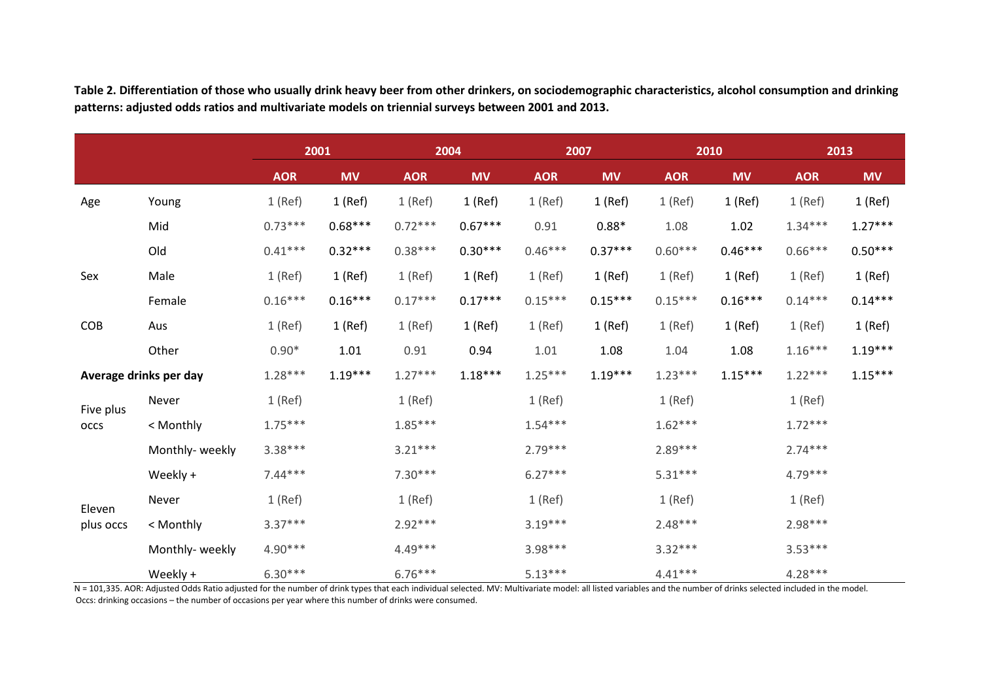|                     |                        | 2001<br>2004 |           | 2007       |           | 2010       |           | 2013       |           |            |           |
|---------------------|------------------------|--------------|-----------|------------|-----------|------------|-----------|------------|-----------|------------|-----------|
|                     |                        | <b>AOR</b>   | <b>MV</b> | <b>AOR</b> | <b>MV</b> | <b>AOR</b> | <b>MV</b> | <b>AOR</b> | <b>MV</b> | <b>AOR</b> | <b>MV</b> |
| Age                 | Young                  | $1$ (Ref)    | $1$ (Ref) | $1$ (Ref)  | $1$ (Ref) | $1$ (Ref)  | $1$ (Ref) | $1$ (Ref)  | $1$ (Ref) | $1$ (Ref)  | $1$ (Ref) |
|                     | Mid                    | $0.73***$    | $0.68***$ | $0.72***$  | $0.67***$ | 0.91       | $0.88*$   | 1.08       | 1.02      | $1.34***$  | $1.27***$ |
|                     | Old                    | $0.41***$    | $0.32***$ | $0.38***$  | $0.30***$ | $0.46***$  | $0.37***$ | $0.60***$  | $0.46***$ | $0.66***$  | $0.50***$ |
| Sex                 | Male                   | $1$ (Ref)    | $1$ (Ref) | $1$ (Ref)  | $1$ (Ref) | $1$ (Ref)  | $1$ (Ref) | $1$ (Ref)  | $1$ (Ref) | $1$ (Ref)  | 1 (Ref)   |
|                     | Female                 | $0.16***$    | $0.16***$ | $0.17***$  | $0.17***$ | $0.15***$  | $0.15***$ | $0.15***$  | $0.16***$ | $0.14***$  | $0.14***$ |
| <b>COB</b>          | Aus                    | $1$ (Ref)    | $1$ (Ref) | $1$ (Ref)  | $1$ (Ref) | $1$ (Ref)  | $1$ (Ref) | $1$ (Ref)  | $1$ (Ref) | $1$ (Ref)  | $1$ (Ref) |
|                     | Other                  | $0.90*$      | 1.01      | 0.91       | 0.94      | 1.01       | 1.08      | 1.04       | 1.08      | $1.16***$  | $1.19***$ |
|                     | Average drinks per day | $1.28***$    | $1.19***$ | $1.27***$  | $1.18***$ | $1.25***$  | $1.19***$ | $1.23***$  | $1.15***$ | $1.22***$  | $1.15***$ |
| Five plus<br>occs   | Never                  | $1$ (Ref)    |           | $1$ (Ref)  |           | $1$ (Ref)  |           | $1$ (Ref)  |           | $1$ (Ref)  |           |
|                     | < Monthly              | $1.75***$    |           | $1.85***$  |           | $1.54***$  |           | $1.62***$  |           | $1.72***$  |           |
|                     | Monthly- weekly        | $3.38***$    |           | $3.21***$  |           | $2.79***$  |           | $2.89***$  |           | $2.74***$  |           |
|                     | Weekly +               | $7.44***$    |           | $7.30***$  |           | $6.27***$  |           | $5.31***$  |           | $4.79***$  |           |
| Eleven<br>plus occs | Never                  | $1$ (Ref)    |           | $1$ (Ref)  |           | $1$ (Ref)  |           | $1$ (Ref)  |           | $1$ (Ref)  |           |
|                     | < Monthly              | $3.37***$    |           | $2.92***$  |           | $3.19***$  |           | $2.48***$  |           | $2.98***$  |           |
|                     | Monthly- weekly        | $4.90***$    |           | $4.49***$  |           | $3.98***$  |           | $3.32***$  |           | $3.53***$  |           |
|                     | Weekly +               | $6.30***$    |           | $6.76***$  |           | $5.13***$  |           | $4.41***$  |           | $4.28***$  |           |

**Table 2. Differentiation of those who usually drink heavy beer from other drinkers, on sociodemographic characteristics, alcohol consumption and drinking patterns: adjusted odds ratios and multivariate models on triennial surveys between 2001 and 2013.**

N = 101,335. AOR: Adjusted Odds Ratio adjusted for the number of drink types that each individual selected. MV: Multivariate model: all listed variables and the number of drinks selected included in the model. Occs: drinking occasions – the number of occasions per year where this number of drinks were consumed.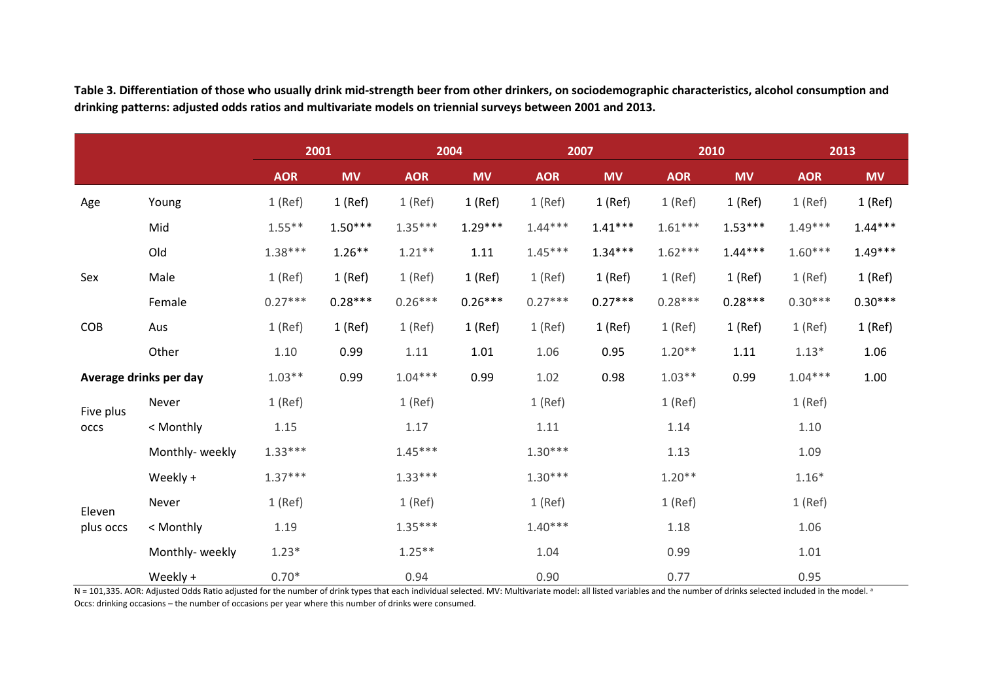**Table 3. Differentiation of those who usually drink mid-strength beer from other drinkers, on sociodemographic characteristics, alcohol consumption and drinking patterns: adjusted odds ratios and multivariate models on triennial surveys between 2001 and 2013.**

|           |                        | 2001<br>2004 |           | 2007       |           |            | 2010      |            | 2013      |            |           |
|-----------|------------------------|--------------|-----------|------------|-----------|------------|-----------|------------|-----------|------------|-----------|
|           |                        | <b>AOR</b>   | <b>MV</b> | <b>AOR</b> | <b>MV</b> | <b>AOR</b> | <b>MV</b> | <b>AOR</b> | <b>MV</b> | <b>AOR</b> | <b>MV</b> |
| Age       | Young                  | $1$ (Ref)    | $1$ (Ref) | $1$ (Ref)  | $1$ (Ref) | $1$ (Ref)  | 1 (Ref)   | $1$ (Ref)  | $1$ (Ref) | $1$ (Ref)  | $1$ (Ref) |
|           | Mid                    | $1.55***$    | $1.50***$ | $1.35***$  | $1.29***$ | $1.44***$  | $1.41***$ | $1.61***$  | $1.53***$ | $1.49***$  | $1.44***$ |
|           | Old                    | $1.38***$    | $1.26**$  | $1.21**$   | 1.11      | $1.45***$  | $1.34***$ | $1.62***$  | $1.44***$ | $1.60***$  | $1.49***$ |
| Sex       | Male                   | $1$ (Ref)    | $1$ (Ref) | $1$ (Ref)  | $1$ (Ref) | $1$ (Ref)  | $1$ (Ref) | $1$ (Ref)  | $1$ (Ref) | $1$ (Ref)  | $1$ (Ref) |
|           | Female                 | $0.27***$    | $0.28***$ | $0.26***$  | $0.26***$ | $0.27***$  | $0.27***$ | $0.28***$  | $0.28***$ | $0.30***$  | $0.30***$ |
| COB       | Aus                    | $1$ (Ref)    | 1 (Ref)   | $1$ (Ref)  | $1$ (Ref) | $1$ (Ref)  | 1 (Ref)   | $1$ (Ref)  | $1$ (Ref) | $1$ (Ref)  | $1$ (Ref) |
|           | Other                  | 1.10         | 0.99      | 1.11       | $1.01\,$  | 1.06       | 0.95      | $1.20**$   | 1.11      | $1.13*$    | 1.06      |
|           | Average drinks per day | $1.03***$    | 0.99      | $1.04***$  | 0.99      | 1.02       | 0.98      | $1.03**$   | 0.99      | $1.04***$  | 1.00      |
| Five plus | Never                  | $1$ (Ref)    |           | $1$ (Ref)  |           | $1$ (Ref)  |           | $1$ (Ref)  |           | $1$ (Ref)  |           |
| occs      | < Monthly              | 1.15         |           | 1.17       |           | 1.11       |           | 1.14       |           | 1.10       |           |
|           | Monthly-weekly         | $1.33***$    |           | $1.45***$  |           | $1.30***$  |           | 1.13       |           | 1.09       |           |
|           | Weekly +               | $1.37***$    |           | $1.33***$  |           | $1.30***$  |           | $1.20**$   |           | $1.16*$    |           |
| Eleven    | Never                  | $1$ (Ref)    |           | $1$ (Ref)  |           | $1$ (Ref)  |           | $1$ (Ref)  |           | $1$ (Ref)  |           |
| plus occs | < Monthly              | 1.19         |           | $1.35***$  |           | $1.40***$  |           | 1.18       |           | 1.06       |           |
|           | Monthly-weekly         | $1.23*$      |           | $1.25***$  |           | 1.04       |           | 0.99       |           | 1.01       |           |
|           | Weekly +               | $0.70*$      |           | 0.94       |           | 0.90       |           | 0.77       |           | 0.95       |           |

 $N = 101,335$ . AOR: Adjusted Odds Ratio adjusted for the number of drink types that each individual selected. MV: Multivariate model: all listed variables and the number of drinks selected included in the model. a Occs: drinking occasions – the number of occasions per year where this number of drinks were consumed.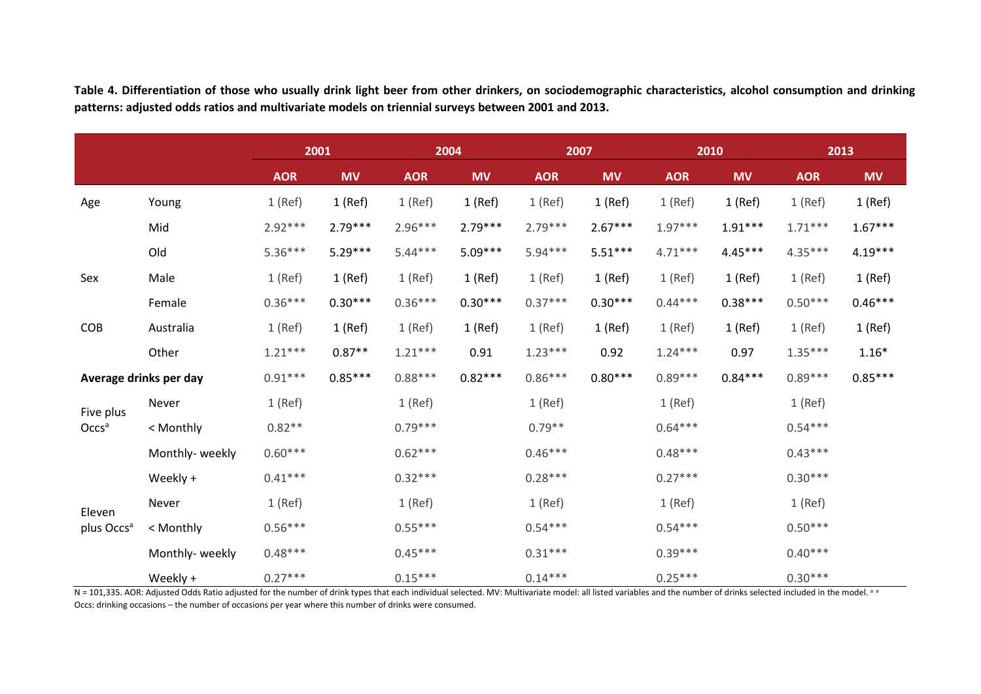**2001 2004 2007 2010 2013 AOR MV AOR MV AOR MV AOR MV AOR MV** Age Young 1 (Ref) 1 (Ref) 1 (Ref) 1 (Ref) 1 (Ref) 1 (Ref) 1 (Ref) 1 (Ref) 1 (Ref) 1 (Ref) Mid 2.92\*\*\* 2.79\*\*\* 2.96\*\*\* 2.79\*\*\* 2.79\*\*\* 2.67\*\*\* 1.97\*\*\* 1.91\*\*\* 1.71\*\*\* 1.67\*\*\* Old 5.36\*\*\* 5.29\*\*\* 5.44\*\*\* 5.09\*\*\* 5.94\*\*\* 5.51\*\*\* 4.71\*\*\* 4.45\*\*\* 4.35\*\*\* 4.19\*\*\* Sex Male 1 (Ref) 1 (Ref) 1 (Ref) 1 (Ref) 1 (Ref) 1 (Ref) 1 (Ref) 1 (Ref) 1 (Ref) 1 (Ref) Female 0.36\*\*\* 0.30\*\*\* 0.36\*\*\* 0.30\*\*\* 0.37\*\*\* 0.30\*\*\* 0.44\*\*\* 0.38\*\*\* 0.50\*\*\* 0.46\*\*\* COB Australia 1 (Ref) 1 (Ref) 1 (Ref) 1 (Ref) 1 (Ref) 1 (Ref) 1 (Ref) 1 (Ref) 1 (Ref) 1 (Ref) Other 1.21\*\*\* 0.87\*\* 1.21\*\*\* 0.91 1.23\*\*\* 0.92 1.24\*\*\* 0.97 1.35\*\*\* 1.16\* **Average drinks per day** 0.91\*\*\* 0.85\*\*\* 0.88\*\*\* 0.82\*\*\* 0.86\*\*\* 0.80\*\*\* 0.89\*\*\* 0.84\*\*\* 0.89\*\*\* 0.85\*\*\* Five plus Occs<sup>a</sup> Never 1 (Ref) 1 (Ref) 1 (Ref) 1 (Ref) 1 (Ref) < Monthly 0.82\*\* 0.79\*\*\* 0.79\*\* 0.64\*\*\* 0.54\*\*\* Monthly- weekly 0.60\*\*\* 0.62\*\*\* 0.46\*\*\* 0.48\*\*\* 0.43\*\*\* Weekly + 0.41\*\*\* 0.32\*\*\* 0.28\*\*\* 0.27\*\*\* 0.30\*\*\* Eleven plus Occs<sup>a</sup> Never 1 (Ref) 1 (Ref) 1 (Ref) 1 (Ref) 1 (Ref) < Monthly 0.56\*\*\* 0.55\*\*\* 0.54\*\*\* 0.54\*\*\* 0.50\*\*\* Monthly- weekly 0.48\*\*\* 0.45\*\*\* 0.31\*\*\* 0.39\*\*\* 0.40\*\*\* Weekly + 0.27\*\*\* 0.15\*\*\* 0.14\*\*\* 0.25\*\*\* 0.30\*\*\*

**Table 4. Differentiation of those who usually drink light beer from other drinkers, on sociodemographic characteristics, alcohol consumption and drinking patterns: adjusted odds ratios and multivariate models on triennial surveys between 2001 and 2013.**

N = 101,335. AOR: Adjusted Odds Ratio adjusted for the number of drink types that each individual selected. MV: Multivariate model: all listed variables and the number of drinks selected included in the model. a a Occs: drinking occasions – the number of occasions per year where this number of drinks were consumed.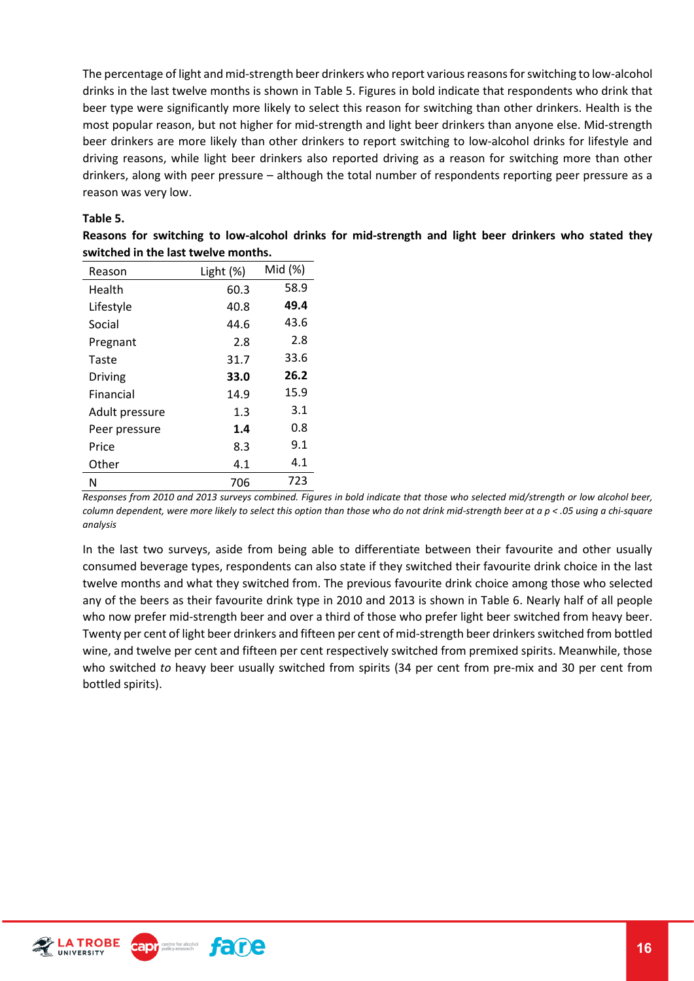The percentage of light and mid-strength beer drinkers who report various reasons for switching to low-alcohol drinks in the last twelve months is shown in Table 5. Figures in bold indicate that respondents who drink that beer type were significantly more likely to select this reason for switching than other drinkers. Health is the most popular reason, but not higher for mid-strength and light beer drinkers than anyone else. Mid-strength beer drinkers are more likely than other drinkers to report switching to low-alcohol drinks for lifestyle and driving reasons, while light beer drinkers also reported driving as a reason for switching more than other drinkers, along with peer pressure – although the total number of respondents reporting peer pressure as a reason was very low.

#### **Table 5.**

**Reasons for switching to low-alcohol drinks for mid-strength and light beer drinkers who stated they switched in the last twelve months.** 

| Reason         | Light (%) | Mid (%) |
|----------------|-----------|---------|
| Health         | 60.3      | 58.9    |
| Lifestyle      | 40.8      | 49.4    |
| Social         | 44.6      | 43.6    |
| Pregnant       | 2.8       | 2.8     |
| Taste          | 31.7      | 33.6    |
| Driving        | 33.0      | 26.2    |
| Financial      | 14.9      | 15.9    |
| Adult pressure | 1.3       | 3.1     |
| Peer pressure  | 1.4       | 0.8     |
| Price          | 8.3       | 9.1     |
| Other          | 4.1       | 4.1     |
| N              | 706       | 723     |

*Responses from 2010 and 2013 surveys combined. Figures in bold indicate that those who selected mid/strength or low alcohol beer, column dependent, were more likely to select this option than those who do not drink mid-strength beer at a p < .05 using a chi-square analysis* 

In the last two surveys, aside from being able to differentiate between their favourite and other usually consumed beverage types, respondents can also state if they switched their favourite drink choice in the last twelve months and what they switched from. The previous favourite drink choice among those who selected any of the beers as their favourite drink type in 2010 and 2013 is shown in Table 6. Nearly half of all people who now prefer mid-strength beer and over a third of those who prefer light beer switched from heavy beer. Twenty per cent of light beer drinkers and fifteen per cent of mid-strength beer drinkers switched from bottled wine, and twelve per cent and fifteen per cent respectively switched from premixed spirits. Meanwhile, those who switched *to* heavy beer usually switched from spirits (34 per cent from pre-mix and 30 per cent from bottled spirits).

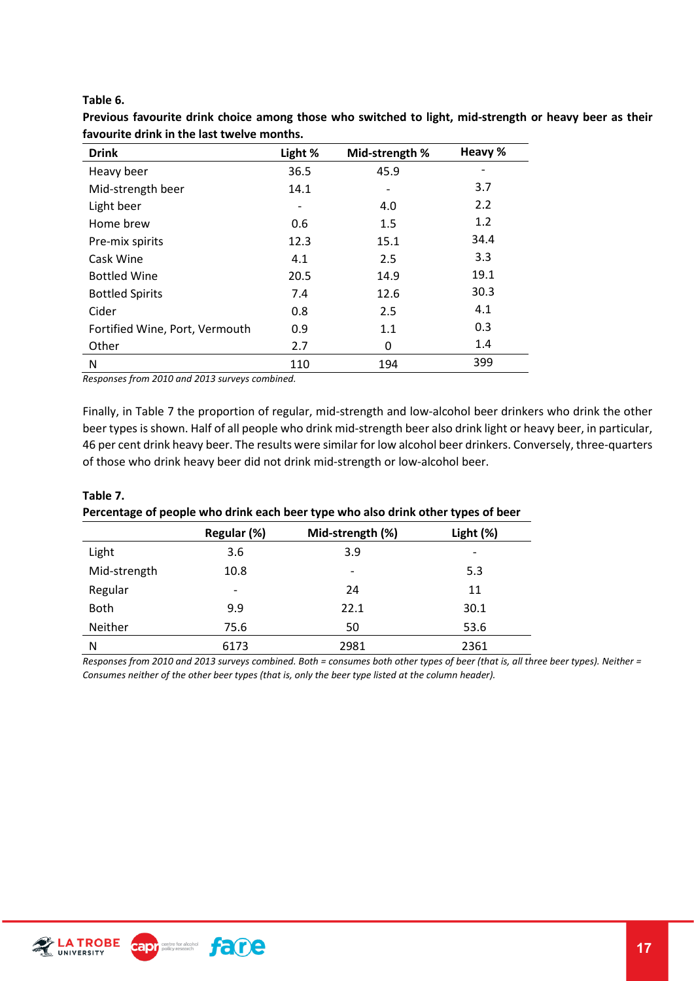#### **Table 6.**

| <b>Drink</b>                   | Light %                      | Mid-strength % | Heavy % |
|--------------------------------|------------------------------|----------------|---------|
| Heavy beer                     | 36.5                         | 45.9           |         |
| Mid-strength beer              | 14.1                         |                | 3.7     |
| Light beer                     | $\qquad \qquad \blacksquare$ | 4.0            | 2.2     |
| Home brew                      | 0.6                          | 1.5            | 1.2     |
| Pre-mix spirits                | 12.3                         | 15.1           | 34.4    |
| Cask Wine                      | 4.1                          | 2.5            | 3.3     |
| <b>Bottled Wine</b>            | 20.5                         | 14.9           | 19.1    |
| <b>Bottled Spirits</b>         | 7.4                          | 12.6           | 30.3    |
| Cider                          | 0.8                          | 2.5            | 4.1     |
| Fortified Wine, Port, Vermouth | 0.9                          | 1.1            | 0.3     |
| Other                          | 2.7                          | 0              | 1.4     |
| N                              | 110                          | 194            | 399     |

**Previous favourite drink choice among those who switched to light, mid-strength or heavy beer as their favourite drink in the last twelve months.**

*Responses from 2010 and 2013 surveys combined.* 

Finally, in Table 7 the proportion of regular, mid-strength and low-alcohol beer drinkers who drink the other beer types is shown. Half of all people who drink mid-strength beer also drink light or heavy beer, in particular, 46 per cent drink heavy beer. The results were similar for low alcohol beer drinkers. Conversely, three-quarters of those who drink heavy beer did not drink mid-strength or low-alcohol beer.

| Table 7.                                                                         |
|----------------------------------------------------------------------------------|
| Percentage of people who drink each beer type who also drink other types of beer |

|              | Regular (%)              | Mid-strength (%) | Light (%) |
|--------------|--------------------------|------------------|-----------|
| Light        | 3.6                      | 3.9              | -         |
| Mid-strength | 10.8                     | -                | 5.3       |
| Regular      | $\overline{\phantom{a}}$ | 24               | 11        |
| <b>Both</b>  | 9.9                      | 22.1             | 30.1      |
| Neither      | 75.6                     | 50               | 53.6      |
| N            | 6173                     | 2981             | 2361      |

*Responses from 2010 and 2013 surveys combined. Both = consumes both other types of beer (that is, all three beer types). Neither = Consumes neither of the other beer types (that is, only the beer type listed at the column header).*

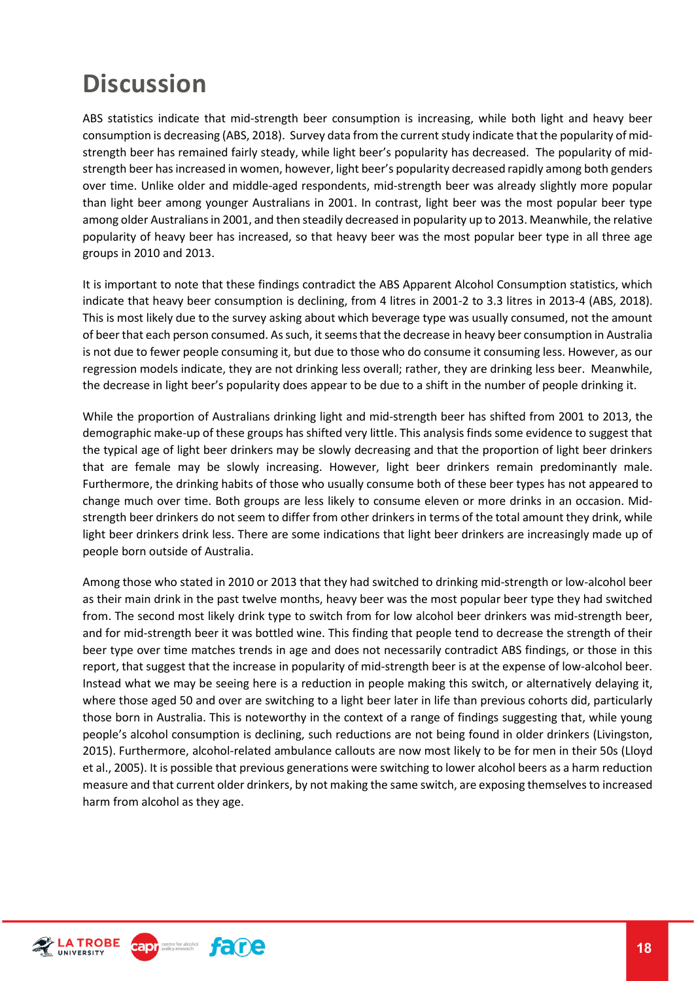## <span id="page-17-0"></span>**Discussion**

ABS statistics indicate that mid-strength beer consumption is increasing, while both light and heavy beer consumption is decreasing (ABS, 2018). Survey data from the current study indicate that the popularity of midstrength beer has remained fairly steady, while light beer's popularity has decreased. The popularity of midstrength beer has increased in women, however, light beer's popularity decreased rapidly among both genders over time. Unlike older and middle-aged respondents, mid-strength beer was already slightly more popular than light beer among younger Australians in 2001. In contrast, light beer was the most popular beer type among older Australians in 2001, and then steadily decreased in popularity up to 2013. Meanwhile, the relative popularity of heavy beer has increased, so that heavy beer was the most popular beer type in all three age groups in 2010 and 2013.

It is important to note that these findings contradict the ABS Apparent Alcohol Consumption statistics, which indicate that heavy beer consumption is declining, from 4 litres in 2001-2 to 3.3 litres in 2013-4 (ABS, 2018). This is most likely due to the survey asking about which beverage type was usually consumed, not the amount of beer that each person consumed. As such, it seems that the decrease in heavy beer consumption in Australia is not due to fewer people consuming it, but due to those who do consume it consuming less. However, as our regression models indicate, they are not drinking less overall; rather, they are drinking less beer. Meanwhile, the decrease in light beer's popularity does appear to be due to a shift in the number of people drinking it.

While the proportion of Australians drinking light and mid-strength beer has shifted from 2001 to 2013, the demographic make-up of these groups has shifted very little. This analysis finds some evidence to suggest that the typical age of light beer drinkers may be slowly decreasing and that the proportion of light beer drinkers that are female may be slowly increasing. However, light beer drinkers remain predominantly male. Furthermore, the drinking habits of those who usually consume both of these beer types has not appeared to change much over time. Both groups are less likely to consume eleven or more drinks in an occasion. Midstrength beer drinkers do not seem to differ from other drinkers in terms of the total amount they drink, while light beer drinkers drink less. There are some indications that light beer drinkers are increasingly made up of people born outside of Australia.

Among those who stated in 2010 or 2013 that they had switched to drinking mid-strength or low-alcohol beer as their main drink in the past twelve months, heavy beer was the most popular beer type they had switched from. The second most likely drink type to switch from for low alcohol beer drinkers was mid-strength beer, and for mid-strength beer it was bottled wine. This finding that people tend to decrease the strength of their beer type over time matches trends in age and does not necessarily contradict ABS findings, or those in this report, that suggest that the increase in popularity of mid-strength beer is at the expense of low-alcohol beer. Instead what we may be seeing here is a reduction in people making this switch, or alternatively delaying it, where those aged 50 and over are switching to a light beer later in life than previous cohorts did, particularly those born in Australia. This is noteworthy in the context of a range of findings suggesting that, while young people's alcohol consumption is declining, such reductions are not being found in older drinkers (Livingston, 2015). Furthermore, alcohol-related ambulance callouts are now most likely to be for men in their 50s (Lloyd et al., 2005). It is possible that previous generations were switching to lower alcohol beers as a harm reduction measure and that current older drinkers, by not making the same switch, are exposing themselves to increased harm from alcohol as they age.

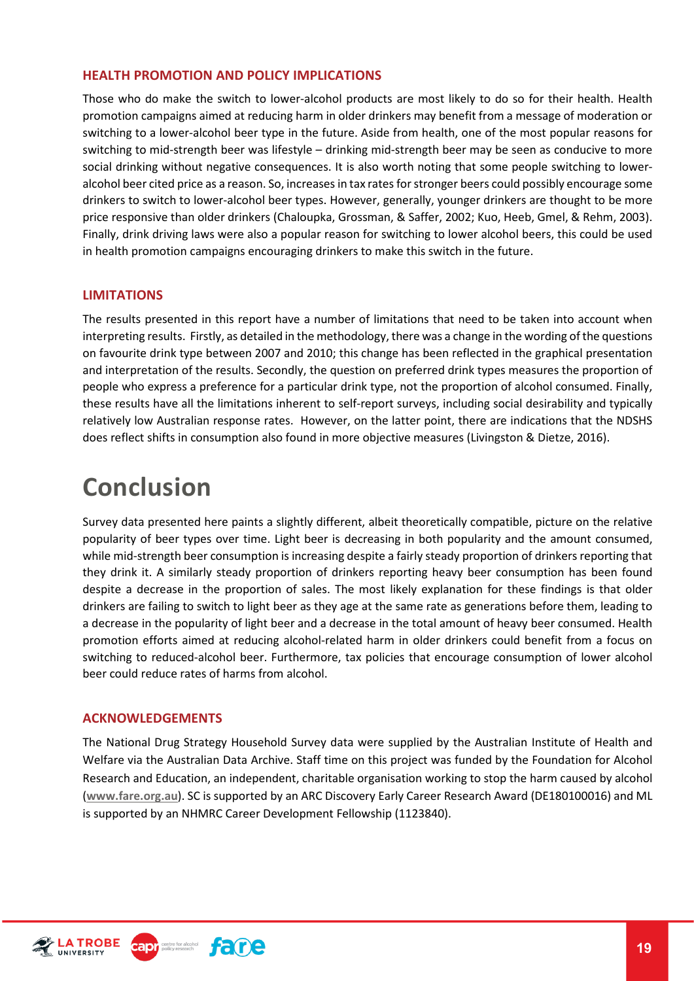#### <span id="page-18-0"></span>**HEALTH PROMOTION AND POLICY IMPLICATIONS**

Those who do make the switch to lower-alcohol products are most likely to do so for their health. Health promotion campaigns aimed at reducing harm in older drinkers may benefit from a message of moderation or switching to a lower-alcohol beer type in the future. Aside from health, one of the most popular reasons for switching to mid-strength beer was lifestyle – drinking mid-strength beer may be seen as conducive to more social drinking without negative consequences. It is also worth noting that some people switching to loweralcohol beer cited price as a reason. So, increases in tax rates for stronger beers could possibly encourage some drinkers to switch to lower-alcohol beer types. However, generally, younger drinkers are thought to be more price responsive than older drinkers (Chaloupka, Grossman, & Saffer, 2002; Kuo, Heeb, Gmel, & Rehm, 2003). Finally, drink driving laws were also a popular reason for switching to lower alcohol beers, this could be used in health promotion campaigns encouraging drinkers to make this switch in the future.

#### <span id="page-18-1"></span>**LIMITATIONS**

The results presented in this report have a number of limitations that need to be taken into account when interpreting results. Firstly, as detailed in the methodology, there was a change in the wording of the questions on favourite drink type between 2007 and 2010; this change has been reflected in the graphical presentation and interpretation of the results. Secondly, the question on preferred drink types measures the proportion of people who express a preference for a particular drink type, not the proportion of alcohol consumed. Finally, these results have all the limitations inherent to self-report surveys, including social desirability and typically relatively low Australian response rates. However, on the latter point, there are indications that the NDSHS does reflect shifts in consumption also found in more objective measures (Livingston & Dietze, 2016).

### <span id="page-18-2"></span>**Conclusion**

Survey data presented here paints a slightly different, albeit theoretically compatible, picture on the relative popularity of beer types over time. Light beer is decreasing in both popularity and the amount consumed, while mid-strength beer consumption is increasing despite a fairly steady proportion of drinkers reporting that they drink it. A similarly steady proportion of drinkers reporting heavy beer consumption has been found despite a decrease in the proportion of sales. The most likely explanation for these findings is that older drinkers are failing to switch to light beer as they age at the same rate as generations before them, leading to a decrease in the popularity of light beer and a decrease in the total amount of heavy beer consumed. Health promotion efforts aimed at reducing alcohol-related harm in older drinkers could benefit from a focus on switching to reduced-alcohol beer. Furthermore, tax policies that encourage consumption of lower alcohol beer could reduce rates of harms from alcohol.

#### <span id="page-18-3"></span>**ACKNOWLEDGEMENTS**

The National Drug Strategy Household Survey data were supplied by the Australian Institute of Health and Welfare via the Australian Data Archive. Staff time on this project was funded by the Foundation for Alcohol Research and Education, an independent, charitable organisation working to stop the harm caused by alcohol (**[www.fare.org.au](http://www.fare.org.au/)**). SC is supported by an ARC Discovery Early Career Research Award (DE180100016) and ML is supported by an NHMRC Career Development Fellowship (1123840).

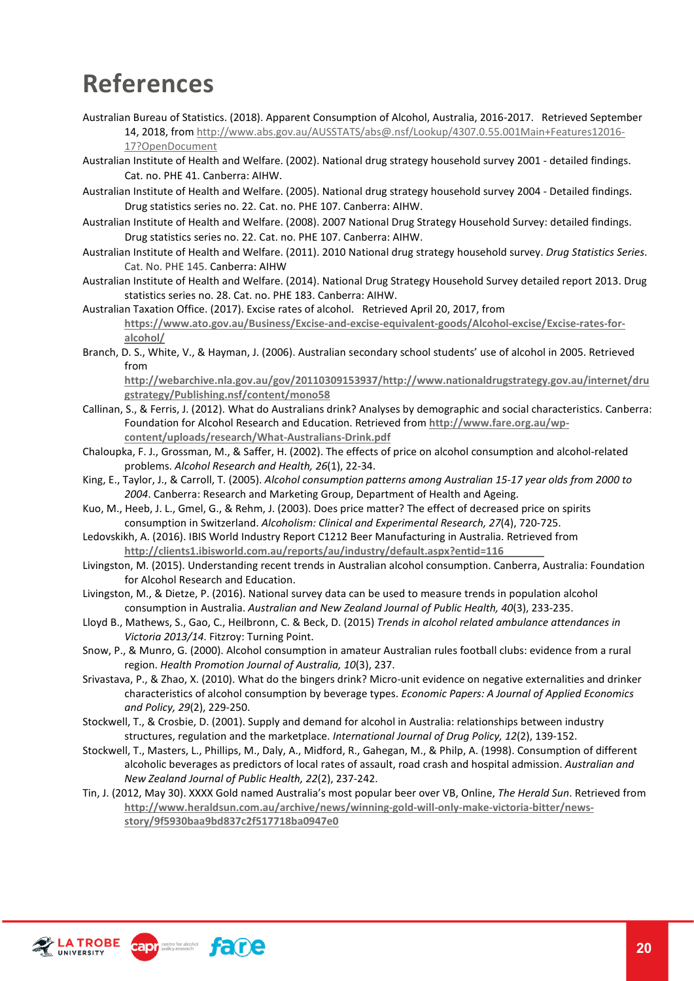### <span id="page-19-0"></span>**References**

Australian Bureau of Statistics. (2018). Apparent Consumption of Alcohol, Australia, 2016-2017. Retrieved September 14, 2018, from [http://www.abs.gov.au/AUSSTATS/abs@.nsf/Lookup/4307.0.55.001Main+Features12016-](http://www.abs.gov.au/AUSSTATS/abs@.nsf/Lookup/4307.0.55.001Main+Features12016-17?OpenDocument) [17?OpenDocument](http://www.abs.gov.au/AUSSTATS/abs@.nsf/Lookup/4307.0.55.001Main+Features12016-17?OpenDocument)

- Australian Institute of Health and Welfare. (2002). National drug strategy household survey 2001 detailed findings. Cat. no. PHE 41. Canberra: AIHW.
- Australian Institute of Health and Welfare. (2005). National drug strategy household survey 2004 Detailed findings. Drug statistics series no. 22. Cat. no. PHE 107. Canberra: AIHW.
- Australian Institute of Health and Welfare. (2008). 2007 National Drug Strategy Household Survey: detailed findings. Drug statistics series no. 22. Cat. no. PHE 107. Canberra: AIHW.
- Australian Institute of Health and Welfare. (2011). 2010 National drug strategy household survey. *Drug Statistics Series*. Cat. No. PHE 145. Canberra: AIHW
- Australian Institute of Health and Welfare. (2014). National Drug Strategy Household Survey detailed report 2013. Drug statistics series no. 28. Cat. no. PHE 183. Canberra: AIHW.
- Australian Taxation Office. (2017). Excise rates of alcohol. Retrieved April 20, 2017, from **[https://www.ato.gov.au/Business/Excise-and-excise-equivalent-goods/Alcohol-excise/Excise-rates-for](https://www.ato.gov.au/Business/Excise-and-excise-equivalent-goods/Alcohol-excise/Excise-rates-for-alcohol/)[alcohol/](https://www.ato.gov.au/Business/Excise-and-excise-equivalent-goods/Alcohol-excise/Excise-rates-for-alcohol/)**
- Branch, D. S., White, V., & Hayman, J. (2006). Australian secondary school students' use of alcohol in 2005. Retrieved from

**[http://webarchive.nla.gov.au/gov/20110309153937/http://www.nationaldrugstrategy.gov.au/internet/dru](http://webarchive.nla.gov.au/gov/20110309153937/http:/www.nationaldrugstrategy.gov.au/internet/drugstrategy/Publishing.nsf/content/mono58) [gstrategy/Publishing.nsf/content/mono58](http://webarchive.nla.gov.au/gov/20110309153937/http:/www.nationaldrugstrategy.gov.au/internet/drugstrategy/Publishing.nsf/content/mono58)**

- Callinan, S., & Ferris, J. (2012). What do Australians drink? Analyses by demographic and social characteristics. Canberra: Foundation for Alcohol Research and Education. Retrieved from **[http://www.fare.org.au/wp](http://www.fare.org.au/wp-content/uploads/research/What-Australians-Drink.pdf)[content/uploads/research/What-Australians-Drink.pdf](http://www.fare.org.au/wp-content/uploads/research/What-Australians-Drink.pdf)**
- Chaloupka, F. J., Grossman, M., & Saffer, H. (2002). The effects of price on alcohol consumption and alcohol-related problems. *Alcohol Research and Health, 26*(1), 22-34.
- King, E., Taylor, J., & Carroll, T. (2005). *Alcohol consumption patterns among Australian 15-17 year olds from 2000 to 2004*. Canberra: Research and Marketing Group, Department of Health and Ageing.
- Kuo, M., Heeb, J. L., Gmel, G., & Rehm, J. (2003). Does price matter? The effect of decreased price on spirits consumption in Switzerland. *Alcoholism: Clinical and Experimental Research, 27*(4), 720-725.
- Ledovskikh, A. (2016). IBIS World Industry Report C1212 Beer Manufacturing in Australia. Retrieved from **<http://clients1.ibisworld.com.au/reports/au/industry/default.aspx?entid=116>**
- Livingston, M. (2015). Understanding recent trends in Australian alcohol consumption. Canberra, Australia: Foundation for Alcohol Research and Education.
- Livingston, M., & Dietze, P. (2016). National survey data can be used to measure trends in population alcohol consumption in Australia. *Australian and New Zealand Journal of Public Health, 40*(3), 233-235.
- Lloyd B., Mathews, S., Gao, C., Heilbronn, C. & Beck, D. (2015) *Trends in alcohol related ambulance attendances in Victoria 2013/14*. Fitzroy: Turning Point.
- Snow, P., & Munro, G. (2000). Alcohol consumption in amateur Australian rules football clubs: evidence from a rural region. *Health Promotion Journal of Australia, 10*(3), 237.
- Srivastava, P., & Zhao, X. (2010). What do the bingers drink? Micro-unit evidence on negative externalities and drinker characteristics of alcohol consumption by beverage types. *Economic Papers: A Journal of Applied Economics and Policy, 29*(2), 229-250.
- Stockwell, T., & Crosbie, D. (2001). Supply and demand for alcohol in Australia: relationships between industry structures, regulation and the marketplace. *International Journal of Drug Policy, 12*(2), 139-152.
- Stockwell, T., Masters, L., Phillips, M., Daly, A., Midford, R., Gahegan, M., & Philp, A. (1998). Consumption of different alcoholic beverages as predictors of local rates of assault, road crash and hospital admission. *Australian and New Zealand Journal of Public Health, 22*(2), 237-242.
- Tin, J. (2012, May 30). XXXX Gold named Australia's most popular beer over VB, Online, *The Herald Sun*. Retrieved from **[http://www.heraldsun.com.au/archive/news/winning-gold-will-only-make-victoria-bitter/news](http://www.heraldsun.com.au/archive/news/winning-gold-will-only-make-victoria-bitter/news-story/9f5930baa9bd837c2f517718ba0947e0)[story/9f5930baa9bd837c2f517718ba0947e0](http://www.heraldsun.com.au/archive/news/winning-gold-will-only-make-victoria-bitter/news-story/9f5930baa9bd837c2f517718ba0947e0)**

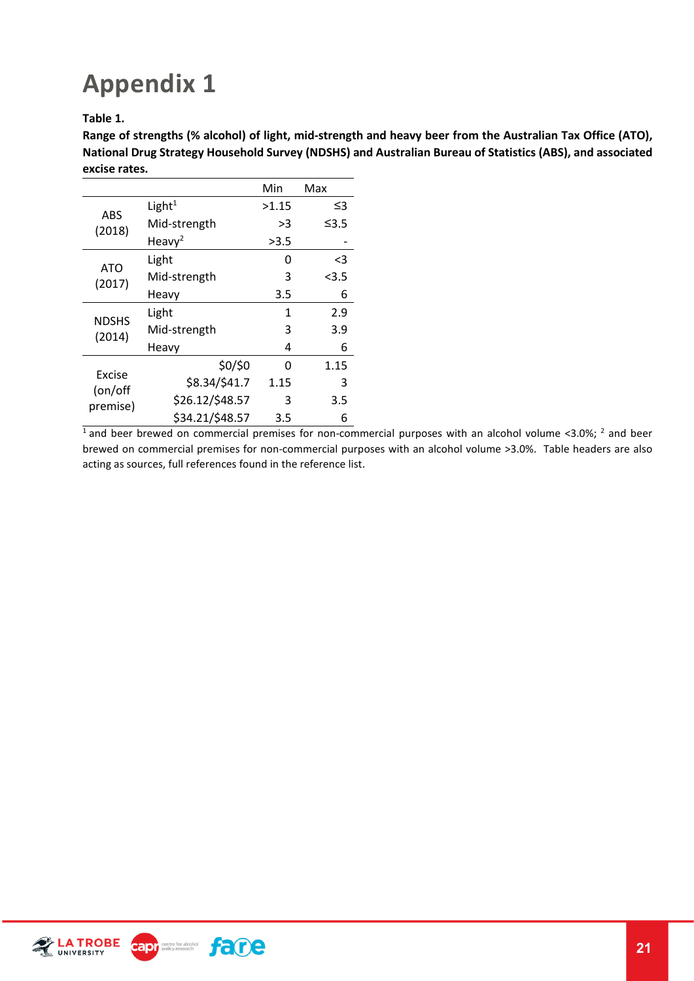### <span id="page-20-0"></span>**Appendix 1**

**Table 1.** 

**Range of strengths (% alcohol) of light, mid-strength and heavy beer from the Australian Tax Office (ATO), National Drug Strategy Household Survey (NDSHS) and Australian Bureau of Statistics (ABS), and associated excise rates.**

|                               |                    | Min   | Max     |
|-------------------------------|--------------------|-------|---------|
| ABS                           | Light $1$          | >1.15 | ≤3      |
| (2018)                        | Mid-strength       | >3    | ≤3.5    |
|                               | Heavy <sup>2</sup> | >3.5  |         |
|                               | Light              | 0     | <3      |
| ATO<br>(2017)                 | Mid-strength       | 3     | $<$ 3.5 |
|                               | Heavy              | 3.5   | 6       |
|                               | Light              | 1     | 2.9     |
| <b>NDSHS</b><br>(2014)        | Mid-strength       | 3     | 3.9     |
|                               | Heavy              | 4     | 6       |
|                               | \$0/\$0            | U     | 1.15    |
| Excise<br>(on/off<br>premise) | \$8.34/\$41.7      | 1.15  | 3       |
|                               | \$26.12/\$48.57    | 3     | 3.5     |
|                               | \$34.21/\$48.57    | 3.5   | 6       |

 $\frac{1}{1}$  and beer brewed on commercial premises for non-commercial purposes with an alcohol volume <3.0%; <sup>2</sup> and beer brewed on commercial premises for non-commercial purposes with an alcohol volume >3.0%. Table headers are also acting as sources, full references found in the reference list.